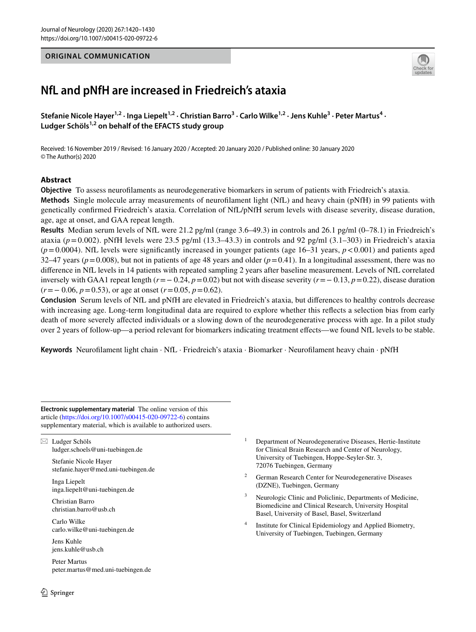## **ORIGINAL COMMUNICATION**



# **NfL and pNfH are increased in Friedreich's ataxia**

Stefanie Nicole Hayer<sup>1,2</sup> · Inga Liepelt<sup>1,2</sup> · Christian Barro<sup>3</sup> · Carlo Wilke<sup>1,2</sup> · Jens Kuhle<sup>3</sup> · Peter Martus<sup>4</sup> · **Ludger Schöls1,2 on behalf of the EFACTS study group**

Received: 16 November 2019 / Revised: 16 January 2020 / Accepted: 20 January 2020 / Published online: 30 January 2020 © The Author(s) 2020

## **Abstract**

**Objective** To assess neuroflaments as neurodegenerative biomarkers in serum of patients with Friedreich's ataxia. **Methods** Single molecule array measurements of neuroflament light (NfL) and heavy chain (pNfH) in 99 patients with genetically confrmed Friedreich's ataxia. Correlation of NfL/pNfH serum levels with disease severity, disease duration, age, age at onset, and GAA repeat length.

**Results** Median serum levels of NfL were 21.2 pg/ml (range 3.6–49.3) in controls and 26.1 pg/ml (0–78.1) in Friedreich's ataxia ( $p=0.002$ ). pNfH levels were 23.5 pg/ml (13.3–43.3) in controls and 92 pg/ml (3.1–303) in Friedreich's ataxia  $(p=0.0004)$ . NfL levels were significantly increased in younger patients (age 16–31 years,  $p < 0.001$ ) and patients aged 32–47 years ( $p=0.008$ ), but not in patients of age 48 years and older ( $p=0.41$ ). In a longitudinal assessment, there was no diference in NfL levels in 14 patients with repeated sampling 2 years after baseline measurement. Levels of NfL correlated inversely with GAA1 repeat length (*r*=− 0.24, *p*=0.02) but not with disease severity (*r*=− 0.13, *p*=0.22), disease duration (*r*=− 0.06, *p*=0.53), or age at onset (*r*=0.05, *p*=0.62).

**Conclusion** Serum levels of NfL and pNfH are elevated in Friedreich's ataxia, but diferences to healthy controls decrease with increasing age. Long-term longitudinal data are required to explore whether this refects a selection bias from early death of more severely afected individuals or a slowing down of the neurodegenerative process with age. In a pilot study over 2 years of follow-up—a period relevant for biomarkers indicating treatment efects—we found NfL levels to be stable.

**Keywords** Neuroflament light chain · NfL · Friedreich's ataxia · Biomarker · Neuroflament heavy chain · pNfH

**Electronic supplementary material** The online version of this article [\(https://doi.org/10.1007/s00415-020-09722-6\)](https://doi.org/10.1007/s00415-020-09722-6) contains supplementary material, which is available to authorized users.

 $\boxtimes$  Ludger Schöls ludger.schoels@uni-tuebingen.de

> Stefanie Nicole Hayer stefanie.hayer@med.uni-tuebingen.de

Inga Liepelt inga.liepelt@uni-tuebingen.de

Christian Barro christian.barro@usb.ch

Carlo Wilke carlo.wilke@uni-tuebingen.de

Jens Kuhle jens.kuhle@usb.ch

Peter Martus peter.martus@med.uni-tuebingen.de

- <sup>1</sup> Department of Neurodegenerative Diseases, Hertie-Institute for Clinical Brain Research and Center of Neurology, University of Tuebingen, Hoppe-Seyler-Str. 3, 72076 Tuebingen, Germany
- German Research Center for Neurodegenerative Diseases (DZNE), Tuebingen, Germany
- Neurologic Clinic and Policlinic, Departments of Medicine, Biomedicine and Clinical Research, University Hospital Basel, University of Basel, Basel, Switzerland
- <sup>4</sup> Institute for Clinical Epidemiology and Applied Biometry, University of Tuebingen, Tuebingen, Germany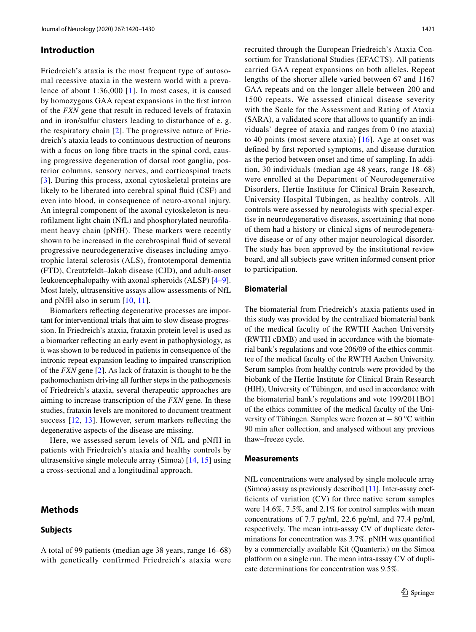#### **Introduction**

Friedreich's ataxia is the most frequent type of autosomal recessive ataxia in the western world with a prevalence of about 1:36,000 [[1](#page-9-0)]. In most cases, it is caused by homozygous GAA repeat expansions in the frst intron of the *FXN* gene that result in reduced levels of frataxin and in iron/sulfur clusters leading to disturbance of e. g. the respiratory chain [[2](#page-9-1)]. The progressive nature of Friedreich's ataxia leads to continuous destruction of neurons with a focus on long fibre tracts in the spinal cord, causing progressive degeneration of dorsal root ganglia, posterior columns, sensory nerves, and corticospinal tracts [[3\]](#page-9-2). During this process, axonal cytoskeletal proteins are likely to be liberated into cerebral spinal fuid (CSF) and even into blood, in consequence of neuro-axonal injury. An integral component of the axonal cytoskeleton is neuroflament light chain (NfL) and phosphorylated neuroflament heavy chain (pNfH). These markers were recently shown to be increased in the cerebrospinal fuid of several progressive neurodegenerative diseases including amyotrophic lateral sclerosis (ALS), frontotemporal dementia (FTD), Creutzfeldt–Jakob disease (CJD), and adult-onset leukoencephalopathy with axonal spheroids (ALSP) [[4](#page-9-3)[–9](#page-9-4)]. Most lately, ultrasensitive assays allow assessments of NfL and pNfH also in serum [[10,](#page-9-5) [11\]](#page-9-6).

Biomarkers refecting degenerative processes are important for interventional trials that aim to slow disease progression. In Friedreich's ataxia, frataxin protein level is used as a biomarker refecting an early event in pathophysiology, as it was shown to be reduced in patients in consequence of the intronic repeat expansion leading to impaired transcription of the *FXN* gene [\[2](#page-9-1)]. As lack of frataxin is thought to be the pathomechanism driving all further steps in the pathogenesis of Friedreich's ataxia, several therapeutic approaches are aiming to increase transcription of the *FXN* gene. In these studies, frataxin levels are monitored to document treatment success [[12,](#page-9-7) [13\]](#page-9-8). However, serum markers refecting the degenerative aspects of the disease are missing.

Here, we assessed serum levels of NfL and pNfH in patients with Friedreich's ataxia and healthy controls by ultrasensitive single molecule array (Simoa) [[14](#page-9-9), [15](#page-9-10)] using a cross-sectional and a longitudinal approach.

A total of 99 patients (median age 38 years, range 16–68) with genetically confirmed Friedreich's ataxia were

## <span id="page-1-0"></span>**Methods**

#### **Subjects**

recruited through the European Friedreich's Ataxia Consortium for Translational Studies (EFACTS). All patients carried GAA repeat expansions on both alleles. Repeat lengths of the shorter allele varied between 67 and 1167 GAA repeats and on the longer allele between 200 and 1500 repeats. We assessed clinical disease severity with the Scale for the Assessment and Rating of Ataxia (SARA), a validated score that allows to quantify an individuals' degree of ataxia and ranges from 0 (no ataxia) to 40 points (most severe ataxia) [\[16\]](#page-9-11). Age at onset was defned by frst reported symptoms, and disease duration as the period between onset and time of sampling. In addition, 30 individuals (median age 48 years, range 18–68) were enrolled at the Department of Neurodegenerative Disorders, Hertie Institute for Clinical Brain Research, University Hospital Tübingen, as healthy controls. All controls were assessed by neurologists with special expertise in neurodegenerative diseases, ascertaining that none of them had a history or clinical signs of neurodegenerative disease or of any other major neurological disorder. The study has been approved by the institutional review board, and all subjects gave written informed consent prior to participation.

#### **Biomaterial**

The biomaterial from Friedreich's ataxia patients used in this study was provided by the centralized biomaterial bank of the medical faculty of the RWTH Aachen University (RWTH cBMB) and used in accordance with the biomaterial bank's regulations and vote 206/09 of the ethics committee of the medical faculty of the RWTH Aachen University. Serum samples from healthy controls were provided by the biobank of the Hertie Institute for Clinical Brain Research (HIH), University of Tübingen, and used in accordance with the biomaterial bank's regulations and vote 199/2011BO1 of the ethics committee of the medical faculty of the University of Tübingen. Samples were frozen at − 80 °C within 90 min after collection, and analysed without any previous thaw–freeze cycle.

#### **Measurements**

NfL concentrations were analysed by single molecule array (Simoa) assay as previously described [\[11\]](#page-9-6). Inter-assay coefficients of variation (CV) for three native serum samples were 14.6%, 7.5%, and 2.1% for control samples with mean concentrations of 7.7 pg/ml, 22.6 pg/ml, and 77.4 pg/ml, respectively. The mean intra-assay CV of duplicate determinations for concentration was 3.7%. pNfH was quantifed by a commercially available Kit (Quanterix) on the Simoa platform on a single run. The mean intra-assay CV of duplicate determinations for concentration was 9.5%.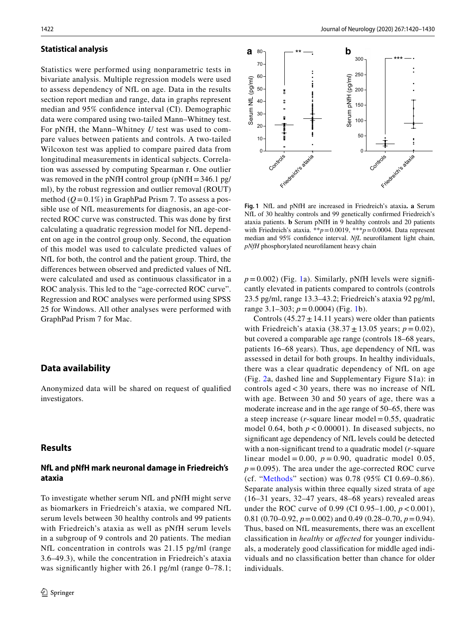#### **Statistical analysis**

Statistics were performed using nonparametric tests in bivariate analysis. Multiple regression models were used to assess dependency of NfL on age. Data in the results section report median and range, data in graphs represent median and 95% confdence interval (CI). Demographic data were compared using two-tailed Mann–Whitney test. For pNfH, the Mann–Whitney *U* test was used to compare values between patients and controls. A two-tailed Wilcoxon test was applied to compare paired data from longitudinal measurements in identical subjects. Correlation was assessed by computing Spearman r. One outlier was removed in the pNfH control group (pNfH=346.1 pg/ ml), by the robust regression and outlier removal (ROUT) method  $(Q=0.1\%)$  in GraphPad Prism 7. To assess a possible use of NfL measurements for diagnosis, an age-corrected ROC curve was constructed. This was done by frst calculating a quadratic regression model for NfL dependent on age in the control group only. Second, the equation of this model was used to calculate predicted values of NfL for both, the control and the patient group. Third, the diferences between observed and predicted values of NfL were calculated and used as continuous classifcator in a ROC analysis. This led to the "age-corrected ROC curve". Regression and ROC analyses were performed using SPSS 25 for Windows. All other analyses were performed with GraphPad Prism 7 for Mac.

## **Data availability**

Anonymized data will be shared on request of qualifed investigators.

#### **Results**

## **NfL and pNfH mark neuronal damage in Friedreich's ataxia**

To investigate whether serum NfL and pNfH might serve as biomarkers in Friedreich's ataxia, we compared NfL serum levels between 30 healthy controls and 99 patients with Friedreich's ataxia as well as pNfH serum levels in a subgroup of 9 controls and 20 patients. The median NfL concentration in controls was 21.15 pg/ml (range 3.6–49.3), while the concentration in Friedreich's ataxia was significantly higher with 26.1 pg/ml (range 0–78.1;



<span id="page-2-0"></span>**Fig. 1** NfL and pNfH are increased in Friedreich's ataxia**. a** Serum NfL of 30 healthy controls and 99 genetically confrmed Friedreich's ataxia patients. **b** Serum pNfH in 9 healthy controls and 20 patients with Friedreich's ataxia. \*\**p*=0.0019, \*\*\**p*=0.0004. Data represent median and 95% confdence interval. *NfL* neuroflament light chain, *pNfH* phosphorylated neuroflament heavy chain

 $p=0.002$ ) (Fig. [1a](#page-2-0)). Similarly, pNfH levels were significantly elevated in patients compared to controls (controls 23.5 pg/ml, range 13.3–43.2; Friedreich's ataxia 92 pg/ml, range 3.1–303; *p*=0.0004) (Fig. [1b](#page-2-0)).

Controls (45.27 $\pm$ 14.11 years) were older than patients with Friedreich's ataxia  $(38.37 \pm 13.05 \text{ years}; p = 0.02)$ , but covered a comparable age range (controls 18–68 years, patients 16–68 years). Thus, age dependency of NfL was assessed in detail for both groups. In healthy individuals, there was a clear quadratic dependency of NfL on age (Fig. [2a](#page-3-0), dashed line and Supplementary Figure S1a): in controls aged < 30 years, there was no increase of NfL with age. Between 30 and 50 years of age, there was a moderate increase and in the age range of 50–65, there was a steep increase (*r*-square linear model= 0.55, quadratic model 0.64, both  $p < 0.00001$ ). In diseased subjects, no signifcant age dependency of NfL levels could be detected with a non-signifcant trend to a quadratic model (*r*-square linear model =  $0.00$ ,  $p = 0.90$ , quadratic model 0.05,  $p = 0.095$ ). The area under the age-corrected ROC curve (cf. ["Methods"](#page-1-0) section) was 0.78 (95% CI 0.69–0.86). Separate analysis within three equally sized strata of age (16–31 years, 32–47 years, 48–68 years) revealed areas under the ROC curve of 0.99 (CI 0.95–1.00, *p* < 0.001), 0.81 (0.70–0.92,  $p = 0.002$ ) and 0.49 (0.28–0.70,  $p = 0.94$ ). Thus, based on NfL measurements, there was an excellent classifcation in *healthy* or *afected* for younger individuals, a moderately good classifcation for middle aged individuals and no classifcation better than chance for older individuals.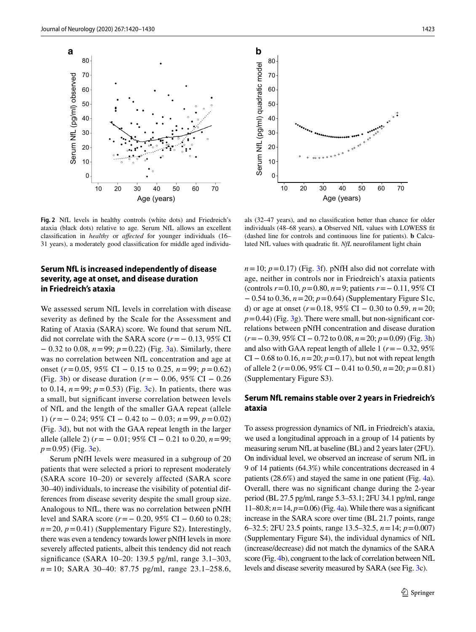

<span id="page-3-0"></span>**Fig. 2** NfL levels in healthy controls (white dots) and Friedreich's ataxia (black dots) relative to age. Serum NfL allows an excellent classifcation in *healthy* or *afected* for younger individuals (16– 31 years), a moderately good classifcation for middle aged individu-

## **Serum NfL is increased independently of disease severity, age at onset, and disease duration in Friedreich's ataxia**

We assessed serum NfL levels in correlation with disease severity as defned by the Scale for the Assessment and Rating of Ataxia (SARA) score. We found that serum NfL did not correlate with the SARA score (*r*=− 0.13, 95% CI − 0.32 to 0.08, *n*=99; *p*=0.22) (Fig. [3a](#page-4-0)). Similarly, there was no correlation between NfL concentration and age at onset (*r*=0.05, 95% CI − 0.15 to 0.25, *n*=99; *p*=0.62) (Fig. [3](#page-4-0)b) or disease duration (*r*=− 0.06, 95% CI − 0.26 to 0.14,  $n = 99$ ;  $p = 0.53$ ) (Fig. [3c](#page-4-0)). In patients, there was a small, but signifcant inverse correlation between levels of NfL and the length of the smaller GAA repeat (allele 1) (*r*=− 0.24; 95% CI − 0.42 to − 0.03; *n*=99, *p*=0.02) (Fig. [3](#page-4-0)d), but not with the GAA repeat length in the larger allele (allele 2) (*r*= − 0.01; 95% CI − 0.21 to 0.20, *n*=99;  $p=0.95$ ) (Fig. [3e](#page-4-0)).

Serum pNfH levels were measured in a subgroup of 20 patients that were selected a priori to represent moderately (SARA score 10–20) or severely affected (SARA score 30–40) individuals, to increase the visibility of potential differences from disease severity despite the small group size. Analogous to NfL, there was no correlation between pNfH level and SARA score (*r*=− 0.20, 95% CI − 0.60 to 0.28;  $n=20$ ,  $p=0.41$ ) (Supplementary Figure S2). Interestingly, there was even a tendency towards lower pNfH levels in more severely affected patients, albeit this tendency did not reach signifcance (SARA 10–20: 139.5 pg/ml, range 3.1–303, *n* = 10; SARA 30–40: 87.75 pg/ml, range 23.1–258.6,



als (32–47 years), and no classifcation better than chance for older individuals (48–68 years). **a** Observed NfL values with LOWESS ft (dashed line for controls and continuous line for patients). **b** Calculated NfL values with quadratic fit. *NfL* neurofilament light chain

 $n=10$ ;  $p=0.17$ ) (Fig. [3f](#page-4-0)). pNfH also did not correlate with age, neither in controls nor in Friedreich's ataxia patients (controls *r*=0.10, *p*=0.80, *n*=9; patients *r*=− 0.11, 95% CI − 0.54 to 0.36, *n*=20; *p*=0.64) (Supplementary Figure S1c, d) or age at onset (*r*=0.18, 95% CI − 0.30 to 0.59, *n*=20;  $p=0.44$ ) (Fig. [3](#page-4-0)g). There were small, but non-significant correlations between pNfH concentration and disease duration (*r*=− 0.39, 95% CI − 0.72 to 0.08, *n*=20; *p*=0.09) (Fig. [3h](#page-4-0)) and also with GAA repeat length of allele 1 (*r*=− 0.32, 95% CI − 0.68 to 0.16, *n*=20; *p*=0.17), but not with repeat length of allele 2 (*r*=0.06, 95% CI − 0.41 to 0.50, *n*=20; *p*=0.81) (Supplementary Figure S3).

## **Serum NfL remains stable over 2 years in Friedreich's ataxia**

To assess progression dynamics of NfL in Friedreich's ataxia, we used a longitudinal approach in a group of 14 patients by measuring serum NfL at baseline (BL) and 2 years later (2FU). On individual level, we observed an increase of serum NfL in 9 of 14 patients (64.3%) while concentrations decreased in 4 patients (28.6%) and stayed the same in one patient (Fig. [4](#page-5-0)a). Overall, there was no signifcant change during the 2-year period (BL 27.5 pg/ml, range 5.3–53.1; 2FU 34.1 pg/ml, range 11–80.8;  $n = 14$ ,  $p = 0.06$ ) (Fig. [4](#page-5-0)a). While there was a significant increase in the SARA score over time (BL 21.7 points, range 6–32.5; 2FU 23.5 points, range 13.5–32.5, *n*=14; *p*=0.007) (Supplementary Figure S4), the individual dynamics of NfL (increase/decrease) did not match the dynamics of the SARA score (Fig. [4](#page-5-0)b), congruent to the lack of correlation between NfL levels and disease severity measured by SARA (see Fig. [3](#page-4-0)c).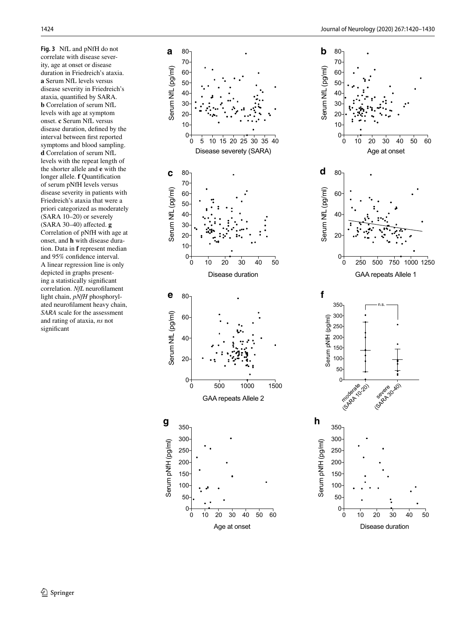<span id="page-4-0"></span>**Fig. 3** NfL and pNfH do not correlate with disease severity, age at onset or disease duration in Friedreich's ataxia. **a** Serum NfL levels versus disease severity in Friedreich's ataxia, quantifed by SARA. **b** Correlation of serum NfL levels with age at symptom onset. **c** Serum NfL versus disease duration, defned by the interval between frst reported symptoms and blood sampling. **d** Correlation of serum NfL levels with the repeat length of the shorter allele and **e** with the longer allele. **f** Quantifcation of serum pNfH levels versus disease severity in patients with Friedreich's ataxia that were a priori categorized as moderately (SARA 10–20) or severely (SARA 30–40) afected. **g** Correlation of pNfH with age at onset, and **h** with disease duration. Data in **f** represent median and 95% confdence interval. A linear regression line is only depicted in graphs presenting a statistically signifcant correlation. *NfL* neuroflament light chain, *pNfH* phosphorylated neuroflament heavy chain, *SARA* scale for the assessment and rating of ataxia, *ns* not signifcant

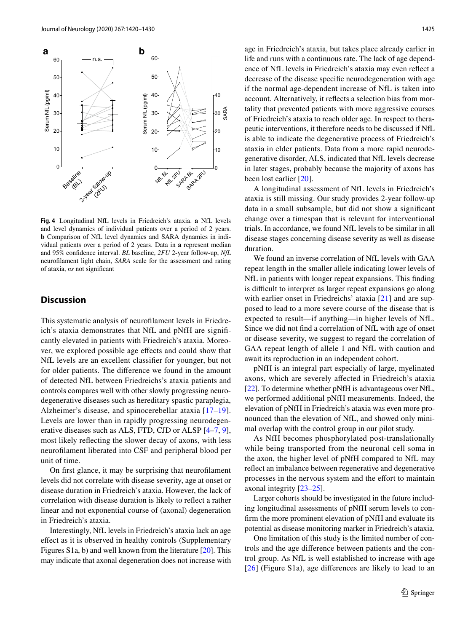

<span id="page-5-0"></span>**Fig. 4** Longitudinal NfL levels in Friedreich's ataxia. **a** NfL levels and level dynamics of individual patients over a period of 2 years. **b** Comparison of NfL level dynamics and SARA dynamics in individual patients over a period of 2 years. Data in **a** represent median and 95% confdence interval. *BL* baseline, *2FU* 2-year follow-up, *NfL* neuroflament light chain, *SARA* scale for the assessment and rating of ataxia, *ns* not signifcant

## **Discussion**

This systematic analysis of neuroflament levels in Friedreich's ataxia demonstrates that NfL and pNfH are signifcantly elevated in patients with Friedreich's ataxia. Moreover, we explored possible age efects and could show that NfL levels are an excellent classifer for younger, but not for older patients. The diference we found in the amount of detected NfL between Friedreichs's ataxia patients and controls compares well with other slowly progressing neurodegenerative diseases such as hereditary spastic paraplegia, Alzheimer's disease, and spinocerebellar ataxia [\[17–](#page-9-12)[19](#page-9-13)]. Levels are lower than in rapidly progressing neurodegenerative diseases such as ALS, FTD, CJD or ALSP  $[4-7, 9]$  $[4-7, 9]$  $[4-7, 9]$  $[4-7, 9]$  $[4-7, 9]$ , most likely refecting the slower decay of axons, with less neuroflament liberated into CSF and peripheral blood per unit of time.

On frst glance, it may be surprising that neuroflament levels did not correlate with disease severity, age at onset or disease duration in Friedreich's ataxia. However, the lack of correlation with disease duration is likely to refect a rather linear and not exponential course of (axonal) degeneration in Friedreich's ataxia.

Interestingly, NfL levels in Friedreich's ataxia lack an age efect as it is observed in healthy controls (Supplementary Figures S1a, b) and well known from the literature [[20\]](#page-9-15). This may indicate that axonal degeneration does not increase with age in Friedreich's ataxia, but takes place already earlier in life and runs with a continuous rate. The lack of age dependence of NfL levels in Friedreich's ataxia may even refect a decrease of the disease specifc neurodegeneration with age if the normal age-dependent increase of NfL is taken into account. Alternatively, it refects a selection bias from mortality that prevented patients with more aggressive courses of Friedreich's ataxia to reach older age. In respect to therapeutic interventions, it therefore needs to be discussed if NfL is able to indicate the degenerative process of Friedreich's ataxia in elder patients. Data from a more rapid neurodegenerative disorder, ALS, indicated that NfL levels decrease in later stages, probably because the majority of axons has been lost earlier [\[20](#page-9-15)].

A longitudinal assessment of NfL levels in Friedreich's ataxia is still missing. Our study provides 2-year follow-up data in a small subsample, but did not show a signifcant change over a timespan that is relevant for interventional trials. In accordance, we found NfL levels to be similar in all disease stages concerning disease severity as well as disease duration.

We found an inverse correlation of NfL levels with GAA repeat length in the smaller allele indicating lower levels of NfL in patients with longer repeat expansions. This fnding is difficult to interpret as larger repeat expansions go along with earlier onset in Friedreichs' ataxia [[21\]](#page-9-16) and are supposed to lead to a more severe course of the disease that is expected to result—if anything—in higher levels of NfL. Since we did not fnd a correlation of NfL with age of onset or disease severity, we suggest to regard the correlation of GAA repeat length of allele 1 and NfL with caution and await its reproduction in an independent cohort.

pNfH is an integral part especially of large, myelinated axons, which are severely afected in Friedreich's ataxia [\[22](#page-10-0)]. To determine whether pNfH is advantageous over NfL, we performed additional pNfH measurements. Indeed, the elevation of pNfH in Friedreich's ataxia was even more pronounced than the elevation of NfL, and showed only minimal overlap with the control group in our pilot study.

As NfH becomes phosphorylated post-translationally while being transported from the neuronal cell soma in the axon, the higher level of pNfH compared to NfL may refect an imbalance between regenerative and degenerative processes in the nervous system and the effort to maintain axonal integrity [[23–](#page-10-1)[25\]](#page-10-2).

Larger cohorts should be investigated in the future including longitudinal assessments of pNfH serum levels to confrm the more prominent elevation of pNfH and evaluate its potential as disease monitoring marker in Friedreich's ataxia.

One limitation of this study is the limited number of controls and the age diference between patients and the control group. As NfL is well established to increase with age [[26\]](#page-10-3) (Figure S1a), age diferences are likely to lead to an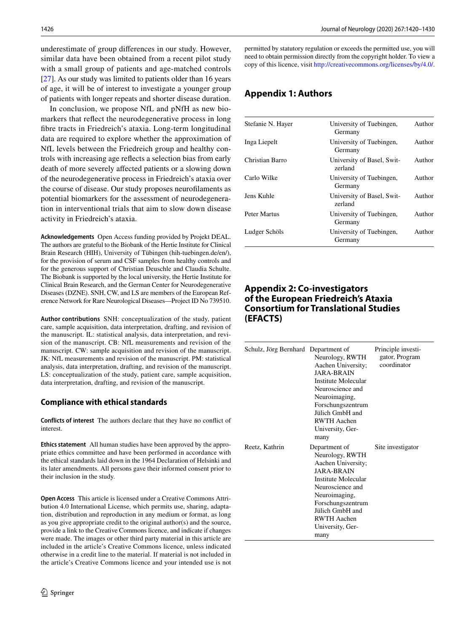underestimate of group diferences in our study. However, similar data have been obtained from a recent pilot study with a small group of patients and age-matched controls [\[27](#page-10-4)]. As our study was limited to patients older than 16 years of age, it will be of interest to investigate a younger group of patients with longer repeats and shorter disease duration.

In conclusion, we propose NfL and pNfH as new biomarkers that refect the neurodegenerative process in long fbre tracts in Friedreich's ataxia. Long-term longitudinal data are required to explore whether the approximation of NfL levels between the Friedreich group and healthy controls with increasing age refects a selection bias from early death of more severely afected patients or a slowing down of the neurodegenerative process in Friedreich's ataxia over the course of disease. Our study proposes neuroflaments as potential biomarkers for the assessment of neurodegeneration in interventional trials that aim to slow down disease activity in Friedreich's ataxia.

**Acknowledgements** Open Access funding provided by Projekt DEAL. The authors are grateful to the Biobank of the Hertie Institute for Clinical Brain Research (HIH), University of Tübingen (hih-tuebingen.de/en/), for the provision of serum and CSF samples from healthy controls and for the generous support of Christian Deuschle and Claudia Schulte. The Biobank is supported by the local university, the Hertie Institute for Clinical Brain Research, and the German Center for Neurodegenerative Diseases (DZNE). SNH, CW, and LS are members of the European Reference Network for Rare Neurological Diseases—Project ID No 739510.

**Author contributions** SNH: conceptualization of the study, patient care, sample acquisition, data interpretation, drafting, and revision of the manuscript. IL: statistical analysis, data interpretation, and revision of the manuscript. CB: NfL measurements and revision of the manuscript. CW: sample acquisition and revision of the manuscript. JK: NfL measurements and revision of the manuscript. PM: statistical analysis, data interpretation, drafting, and revision of the manuscript. LS: conceptualization of the study, patient care, sample acquisition, data interpretation, drafting, and revision of the manuscript.

#### **Compliance with ethical standards**

**Conflicts of interest** The authors declare that they have no confict of interest.

**Ethics statement** All human studies have been approved by the appropriate ethics committee and have been performed in accordance with the ethical standards laid down in the 1964 Declaration of Helsinki and its later amendments. All persons gave their informed consent prior to their inclusion in the study.

**Open Access** This article is licensed under a Creative Commons Attribution 4.0 International License, which permits use, sharing, adaptation, distribution and reproduction in any medium or format, as long as you give appropriate credit to the original author(s) and the source, provide a link to the Creative Commons licence, and indicate if changes were made. The images or other third party material in this article are included in the article's Creative Commons licence, unless indicated otherwise in a credit line to the material. If material is not included in the article's Creative Commons licence and your intended use is not permitted by statutory regulation or exceeds the permitted use, you will need to obtain permission directly from the copyright holder. To view a copy of this licence, visit<http://creativecommons.org/licenses/by/4.0/>.

## **Appendix 1: Authors**

| Stefanie N. Hayer | University of Tuebingen,<br>Germany   | Author |
|-------------------|---------------------------------------|--------|
| Inga Liepelt      | University of Tuebingen,<br>Germany   | Author |
| Christian Barro   | University of Basel, Swit-<br>zerland | Author |
| Carlo Wilke       | University of Tuebingen,<br>Germany   | Author |
| Jens Kuhle        | University of Basel, Swit-<br>zerland | Author |
| Peter Martus      | University of Tuebingen,<br>Germany   | Author |
| Ludger Schöls     | University of Tuebingen,<br>Germany   | Author |
|                   |                                       |        |

# **Appendix 2: Co‑investigators of the European Friedreich's Ataxia Consortium for Translational Studies (EFACTS)**

| Schulz, Jörg Bernhard Department of | Neurology, RWTH<br>Aachen University;<br><b>JARA-BRAIN</b><br>Institute Molecular<br>Neuroscience and<br>Neuroimaging,<br>Forschungszentrum<br>Jiilich GmbH and<br><b>RWTH Aachen</b><br>University, Ger-<br>many                  | Principle investi-<br>gator, Program<br>coordinator |
|-------------------------------------|------------------------------------------------------------------------------------------------------------------------------------------------------------------------------------------------------------------------------------|-----------------------------------------------------|
| Reetz, Kathrin                      | Department of<br>Neurology, RWTH<br>Aachen University;<br><b>JARA-BRAIN</b><br>Institute Molecular<br>Neuroscience and<br>Neuroimaging,<br>Forschungszentrum<br>Jiilich GmbH and<br><b>RWTH Aachen</b><br>University, Ger-<br>many | Site investigator                                   |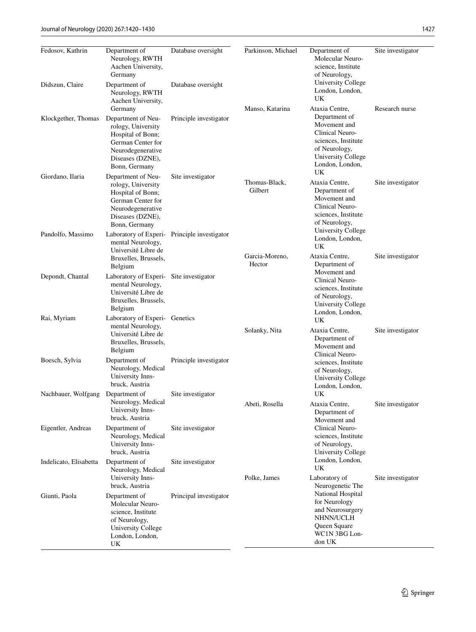bruck, Austria

Neurology, Medical University Innsbruck, Austria

Neurology, Medical University Innsbruck, Austria

Neurology, Medical University Innsbruck, Austria

Molecular Neuroscience, Institute of Neurology, University College London, London,

UK

Site investigator

Site investigator

Site investigator

Principal investigator

Nachbauer, Wolfgang Department of

Eigentler, Andreas Department of

Indelicato, Elisabetta Department of

Giunti, Paola Department of

| Journal of Neurology (2020) 267:1420-1430<br>1427 |                                                                                                                                              |                        |                          |                                                                                                                                         |                   |
|---------------------------------------------------|----------------------------------------------------------------------------------------------------------------------------------------------|------------------------|--------------------------|-----------------------------------------------------------------------------------------------------------------------------------------|-------------------|
| Fedosov, Kathrin                                  | Department of<br>Neurology, RWTH<br>Aachen University,<br>Germany                                                                            | Database oversight     | Parkinson, Michael       | Department of<br>Molecular Neuro-<br>science, Institute<br>of Neurology,                                                                | Site investigator |
| Didszun, Claire                                   | Department of<br>Neurology, RWTH<br>Aachen University,<br>Germany                                                                            | Database oversight     | Manso, Katarina          | University College<br>London, London,<br>UK<br>Ataxia Centre,                                                                           | Research nurse    |
| Klockgether, Thomas                               | Department of Neu-<br>rology, University<br>Hospital of Bonn;<br>German Center for<br>Neurodegenerative<br>Diseases (DZNE),<br>Bonn, Germany | Principle investigator |                          | Department of<br>Movement and<br>Clinical Neuro-<br>sciences, Institute<br>of Neurology,<br>University College<br>London, London,<br>UK |                   |
| Giordano, Ilaria                                  | Department of Neu-<br>rology, University<br>Hospital of Bonn;<br>German Center for<br>Neurodegenerative<br>Diseases (DZNE),<br>Bonn, Germany | Site investigator      | Thomas-Black,<br>Gilbert | Ataxia Centre,<br>Department of<br>Movement and<br>Clinical Neuro-<br>sciences, Institute<br>of Neurology,                              | Site investigator |
| Pandolfo, Massimo                                 | Laboratory of Experi- Principle investigator<br>mental Neurology,<br>Université Libre de<br>Bruxelles, Brussels,<br>Belgium                  |                        | Garcia-Moreno,<br>Hector | University College<br>London, London,<br>UK<br>Ataxia Centre,<br>Department of                                                          | Site investigator |
| Depondt, Chantal                                  | Laboratory of Experi- Site investigator<br>mental Neurology,<br>Université Libre de<br>Bruxelles, Brussels,<br>Belgium                       |                        |                          | Movement and<br>Clinical Neuro-<br>sciences, Institute<br>of Neurology,<br>University College<br>London, London,                        |                   |
| Rai, Myriam                                       | Laboratory of Experi- Genetics<br>mental Neurology,<br>Université Libre de<br>Bruxelles, Brussels,<br>Belgium                                |                        | Solanky, Nita            | UK<br>Ataxia Centre,<br>Department of<br>Movement and<br>Clinical Neuro-                                                                | Site investigator |
| Boesch, Sylvia                                    | Department of<br>Neurology, Medical<br>University Inns-                                                                                      | Principle investigator |                          | sciences, Institute<br>of Neurology,<br>University College                                                                              |                   |

London, London,

Department of Movement and Clinical Neurosciences, Institute of Neurology, University College London, London,

Neurogenetic The National Hospital for Neurology and Neurosurgery NHNN/UCLH Queen Square WC1N 3BG London UK

UK

UK

Abeti, Rosella Ataxia Centre,

Polke, James Laboratory of

Site investigator

Site investigator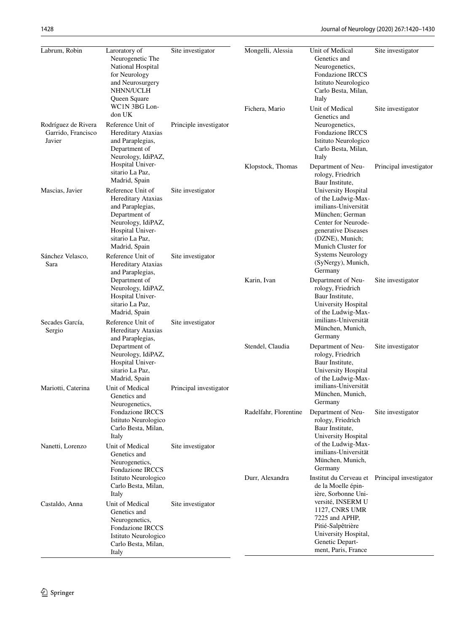| Labrum, Robin                                       | Laroratory of<br>Neurogenetic The<br>National Hospital<br>for Neurology<br>and Neurosurgery<br>NHNN/UCLH<br>Queen Square<br>WC1N 3BG Lon-                  | Site investigator      | Mongelli, Alessia<br>Fichera, Mario | Unit of Medical<br>Genetics and<br>Neurogenetics,<br>Fondazione IRCCS<br>Istituto Neurologico<br>Carlo Besta, Milan,<br>Italy<br>Unit of Medical                            | Site investigator<br>Site investigator |
|-----------------------------------------------------|------------------------------------------------------------------------------------------------------------------------------------------------------------|------------------------|-------------------------------------|-----------------------------------------------------------------------------------------------------------------------------------------------------------------------------|----------------------------------------|
| Rodríguez de Rivera<br>Garrido, Francisco<br>Javier | don UK<br>Reference Unit of<br>Hereditary Ataxias<br>and Paraplegias,<br>Department of<br>Neurology, IdiPAZ,                                               | Principle investigator |                                     | Genetics and<br>Neurogenetics,<br>Fondazione IRCCS<br>Istituto Neurologico<br>Carlo Besta, Milan,<br>Italy                                                                  |                                        |
|                                                     | Hospital Univer-<br>sitario La Paz,<br>Madrid, Spain                                                                                                       |                        | Klopstock, Thomas                   | Department of Neu-<br>rology, Friedrich<br>Baur Institute,                                                                                                                  | Principal investigator                 |
| Mascias, Javier                                     | Reference Unit of<br>Hereditary Ataxias<br>and Paraplegias,<br>Department of<br>Neurology, IdiPAZ,<br>Hospital Univer-<br>sitario La Paz,<br>Madrid, Spain | Site investigator      |                                     | University Hospital<br>of the Ludwig-Max-<br>imilians-Universität<br>München; German<br>Center for Neurode-<br>generative Diseases<br>(DZNE), Munich;<br>Munich Cluster for |                                        |
| Sánchez Velasco,<br>Sara                            | Reference Unit of<br>Hereditary Ataxias<br>and Paraplegias,                                                                                                | Site investigator      |                                     | <b>Systems Neurology</b><br>(SyNergy), Munich,<br>Germany                                                                                                                   |                                        |
|                                                     | Department of<br>Neurology, IdiPAZ,<br>Hospital Univer-<br>sitario La Paz,<br>Madrid, Spain                                                                |                        | Karin, Ivan                         | Department of Neu-<br>rology, Friedrich<br>Baur Institute,<br>University Hospital<br>of the Ludwig-Max-                                                                     | Site investigator                      |
| Secades García,<br>Sergio                           | Reference Unit of<br>Hereditary Ataxias<br>and Paraplegias,                                                                                                | Site investigator      |                                     | imilians-Universität<br>München, Munich,<br>Germany                                                                                                                         |                                        |
|                                                     | Department of<br>Neurology, IdiPAZ,<br>Hospital Univer-<br>sitario La Paz,<br>Madrid, Spain                                                                |                        | Stendel, Claudia                    | Department of Neu-<br>rology, Friedrich<br>Baur Institute,<br>University Hospital<br>of the Ludwig-Max-                                                                     | Site investigator                      |
| Mariotti, Caterina                                  | Unit of Medical<br>Genetics and<br>Neurogenetics,                                                                                                          | Principal investigator |                                     | imilians-Universität<br>München, Munich,<br>Germany                                                                                                                         |                                        |
|                                                     | Fondazione IRCCS<br>Istituto Neurologico<br>Carlo Besta, Milan,<br>Italy                                                                                   |                        | Radelfahr, Florentine               | Department of Neu-<br>rology, Friedrich<br>Baur Institute,<br>University Hospital                                                                                           | Site investigator                      |
| Nanetti, Lorenzo                                    | Unit of Medical<br>Genetics and<br>Neurogenetics,<br>Fondazione IRCCS                                                                                      | Site investigator      |                                     | of the Ludwig-Max-<br>imilians-Universität<br>München, Munich,<br>Germany                                                                                                   |                                        |
|                                                     | Istituto Neurologico<br>Carlo Besta, Milan,<br>Italy                                                                                                       |                        | Durr, Alexandra                     | Institut du Cerveau et<br>de la Moelle épin-<br>ière, Sorbonne Uni-                                                                                                         | Principal investigator                 |
| Castaldo, Anna                                      | Unit of Medical<br>Genetics and<br>Neurogenetics,<br>Fondazione IRCCS<br>Istituto Neurologico<br>Carlo Besta, Milan,<br>Italy                              | Site investigator      |                                     | versité, INSERM U<br>1127, CNRS UMR<br>7225 and APHP,<br>Pitié-Salpêtrière<br>University Hospital,<br>Genetic Depart-<br>ment, Paris, France                                |                                        |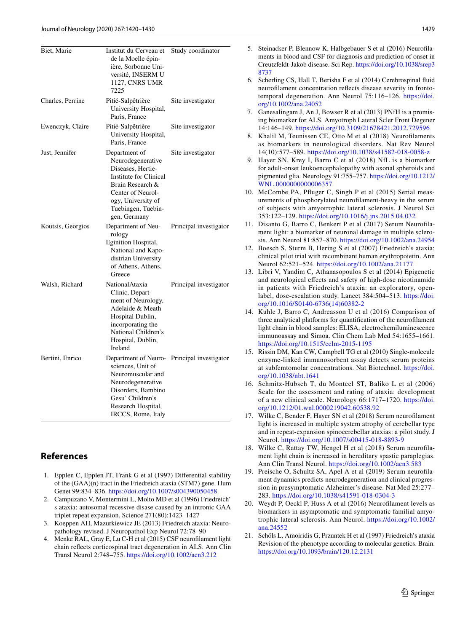| Biet, Marie       | Institut du Cerveau et<br>de la Moelle épin-<br>ière, Sorbonne Uni-<br>versité, INSERM U<br>1127, CNRS UMR<br>7225                                                                               | Study coordinator      |
|-------------------|--------------------------------------------------------------------------------------------------------------------------------------------------------------------------------------------------|------------------------|
| Charles, Perrine  | Pitié-Salpêtrière<br>University Hospital,<br>Paris, France                                                                                                                                       | Site investigator      |
| Ewenczyk, Claire  | Pitié-Salpêtrière<br>University Hospital,<br>Paris, France                                                                                                                                       | Site investigator      |
| Just, Jennifer    | Department of<br>Neurodegenerative<br>Diseases, Hertie-<br>Institute for Clinical<br>Brain Research &<br>Center of Neurol-<br>ogy, University of<br>Tuebingen, Tuebin-<br>gen, Germany           | Site investigator      |
| Koutsis, Georgios | Department of Neu-<br>rology<br>Eginition Hospital,<br>National and Kapo-<br>distrian University<br>of Athens, Athens,<br>Greece                                                                 | Principal investigator |
| Walsh, Richard    | NationalAtaxia<br>Clinic, Depart-<br>ment of Neurology,<br>Adelaide & Meath<br>Hospital Dublin,<br>incorporating the<br>National Children's<br>Hospital, Dublin,<br>Ireland                      | Principal investigator |
| Bertini, Enrico   | Department of Neuro- Principal investigator<br>sciences, Unit of<br>Neuromuscular and<br>Neurodegenerative<br>Disorders, Bambino<br>Gesu' Children's<br>Research Hospital,<br>IRCCS, Rome, Italy |                        |

# **References**

- <span id="page-9-0"></span>1. Epplen C, Epplen JT, Frank G et al (1997) Diferential stability of the (GAA)(n) tract in the Friedreich ataxia (STM7) gene. Hum Genet 99:834–836. <https://doi.org/10.1007/s004390050458>
- <span id="page-9-1"></span>2. Campuzano V, Montermini L, Molto MD et al (1996) Friedreich' s ataxia: autosomal recessive disase caused by an intronic GAA triplet repeat expansion. Science 271(80):1423–1427
- <span id="page-9-2"></span>3. Koeppen AH, Mazurkiewicz JE (2013) Friedreich ataxia: Neuropathology revised. J Neuropathol Exp Neurol 72:78–90
- <span id="page-9-3"></span>4. Menke RAL, Gray E, Lu C-H et al (2015) CSF neuroflament light chain refects corticospinal tract degeneration in ALS. Ann Clin Transl Neurol 2:748–755. <https://doi.org/10.1002/acn3.212>
- <span id="page-9-14"></span>5. Steinacker P, Blennow K, Halbgebauer S et al (2016) Neuroflaments in blood and CSF for diagnosis and prediction of onset in Creutzfeldt-Jakob disease. Sci Rep. [https://doi.org/10.1038/srep3](https://doi.org/10.1038/srep38737) [8737](https://doi.org/10.1038/srep38737) 6. Scherling CS, Hall T, Berisha F et al (2014) Cerebrospinal fuid neuroflament concentration refects disease severity in frontotemporal degeneration. Ann Neurol 75:116–126. [https://doi.](https://doi.org/10.1002/ana.24052) [org/10.1002/ana.24052](https://doi.org/10.1002/ana.24052) 7. Ganesalingam J, An J, Bowser R et al (2013) PNfH is a promising biomarker for ALS. Amyotroph Lateral Scler Front Degener 14:146–149. <https://doi.org/10.3109/21678421.2012.729596> 8. Khalil M, Teunissen CE, Otto M et al (2018) Neuroflaments as biomarkers in neurological disorders. Nat Rev Neurol 14(10):577–589. <https://doi.org/10.1038/s41582-018-0058-z> 9. Hayer SN, Krey I, Barro C et al (2018) NfL is a biomarker for adult-onset leukoencephalopathy with axonal spheroids and pigmented glia. Neurology 91:755–757. [https://doi.org/10.1212/](https://doi.org/10.1212/WNL.0000000000006357) WNL.000000000000635 10. McCombe PA, Pfuger C, Singh P et al (2015) Serial meas-
- <span id="page-9-5"></span><span id="page-9-4"></span>urements of phosphorylated neuroflament-heavy in the serum of subjects with amyotrophic lateral sclerosis. J Neurol Sci 353:122–129.<https://doi.org/10.1016/j.jns.2015.04.032>
- <span id="page-9-6"></span>11. Disanto G, Barro C, Benkert P et al (2017) Serum Neuroflament light: a biomarker of neuronal damage in multiple sclerosis. Ann Neurol 81:857–870. <https://doi.org/10.1002/ana.24954>
- <span id="page-9-7"></span>12. Boesch S, Sturm B, Hering S et al (2007) Friedreich's ataxia: clinical pilot trial with recombinant human erythropoietin. Ann Neurol 62:521–524.<https://doi.org/10.1002/ana.21177>
- <span id="page-9-8"></span>13. Libri V, Yandim C, Athanasopoulos S et al (2014) Epigenetic and neurological efects and safety of high-dose nicotinamide in patients with Friedreich's ataxia: an exploratory, openlabel, dose-escalation study. Lancet 384:504–513. [https://doi.](https://doi.org/10.1016/S0140-6736(14)60382-2) [org/10.1016/S0140-6736\(14\)60382-2](https://doi.org/10.1016/S0140-6736(14)60382-2)
- <span id="page-9-9"></span>14. Kuhle J, Barro C, Andreasson U et al (2016) Comparison of three analytical platforms for quantifcation of the neuroflament light chain in blood samples: ELISA, electrochemiluminescence immunoassay and Simoa. Clin Chem Lab Med 54:1655–1661. <https://doi.org/10.1515/cclm-2015-1195>
- <span id="page-9-10"></span>15. Rissin DM, Kan CW, Campbell TG et al (2010) Single-molecule enzyme-linked immunosorbent assay detects serum proteins at subfemtomolar concentrations. Nat Biotechnol. [https://doi.](https://doi.org/10.1038/nbt.1641) [org/10.1038/nbt.1641](https://doi.org/10.1038/nbt.1641)
- <span id="page-9-11"></span>16. Schmitz-Hübsch T, du Montcel ST, Baliko L et al (2006) Scale for the assessment and rating of ataxia: development of a new clinical scale. Neurology 66:1717–1720. [https://doi.](https://doi.org/10.1212/01.wnl.0000219042.60538.92) [org/10.1212/01.wnl.0000219042.60538.92](https://doi.org/10.1212/01.wnl.0000219042.60538.92)
- <span id="page-9-12"></span>17. Wilke C, Bender F, Hayer SN et al (2018) Serum neuroflament light is increased in multiple system atrophy of cerebellar type and in repeat-expansion spinocerebellar ataxias: a pilot study. J Neurol. <https://doi.org/10.1007/s00415-018-8893-9>
- 18. Wilke C, Rattay TW, Hengel H et al (2018) Serum neuroflament light chain is increased in hereditary spastic paraplegias. Ann Clin Transl Neurol.<https://doi.org/10.1002/acn3.583>
- <span id="page-9-13"></span>19. Preische O, Schultz SA, Apel A et al (2019) Serum neuroflament dynamics predicts neurodegeneration and clinical progression in presymptomatic Alzheimer's disease. Nat Med 25:277– 283. <https://doi.org/10.1038/s41591-018-0304-3>
- <span id="page-9-15"></span>20. Weydt P, Oeckl P, Huss A et al (2016) Neuroflament levels as biomarkers in asymptomatic and symptomatic familial amyotrophic lateral sclerosis. Ann Neurol. [https://doi.org/10.1002/](https://doi.org/10.1002/ana.24552) [ana.24552](https://doi.org/10.1002/ana.24552)
- <span id="page-9-16"></span>21. Schöls L, Amoiridis G, Przuntek H et al (1997) Friedreich's ataxia Revision of the phenotype according to molecular genetics. Brain. <https://doi.org/10.1093/brain/120.12.2131>